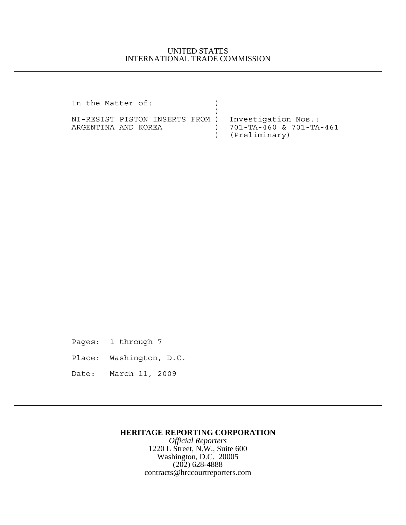## UNITED STATES INTERNATIONAL TRADE COMMISSION

In the Matter of:  $)$  $)$ NI-RESIST PISTON INSERTS FROM ) Investigation Nos.: ARGENTINA AND KOREA ) 701-TA-460 & 701-TA-461 ) (Preliminary)

Pages: 1 through 7

Place: Washington, D.C.

Date: March 11, 2009

## **HERITAGE REPORTING CORPORATION**

*Official Reporters* 1220 L Street, N.W., Suite 600 Washington, D.C. 20005 (202) 628-4888 contracts@hrccourtreporters.com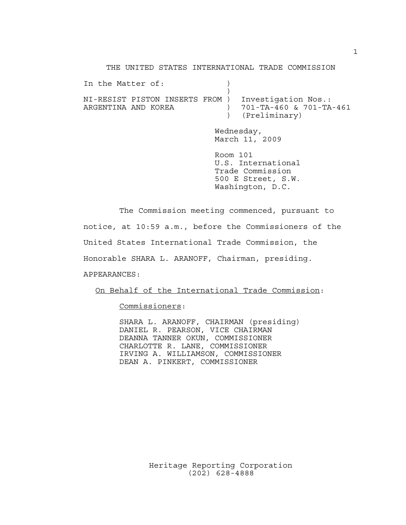THE UNITED STATES INTERNATIONAL TRADE COMMISSION

| In the Matter of:                                      |  |                                                                                              |
|--------------------------------------------------------|--|----------------------------------------------------------------------------------------------|
| NI-RESIST PISTON INSERTS FROM )<br>ARGENTINA AND KOREA |  | Investigation Nos.:<br>701-TA-460 & 701-TA-461<br>(Preliminary)                              |
|                                                        |  | Wednesday,<br>March 11, 2009                                                                 |
|                                                        |  | Room 101<br>U.S. International<br>Trade Commission<br>500 E Street, S.W.<br>Washington, D.C. |

The Commission meeting commenced, pursuant to notice, at 10:59 a.m., before the Commissioners of the United States International Trade Commission, the Honorable SHARA L. ARANOFF, Chairman, presiding. APPEARANCES:

On Behalf of the International Trade Commission:

Commissioners:

SHARA L. ARANOFF, CHAIRMAN (presiding) DANIEL R. PEARSON, VICE CHAIRMAN DEANNA TANNER OKUN, COMMISSIONER CHARLOTTE R. LANE, COMMISSIONER IRVING A. WILLIAMSON, COMMISSIONER DEAN A. PINKERT, COMMISSIONER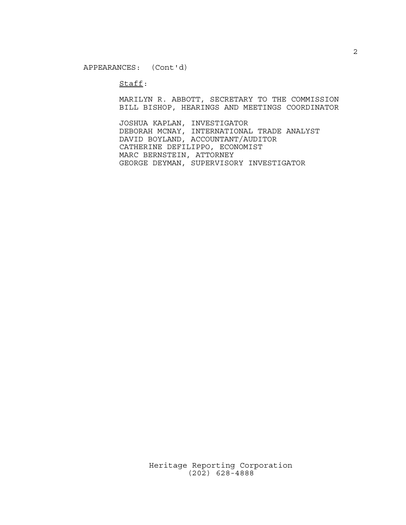$Stat:$ 

MARILYN R. ABBOTT, SECRETARY TO THE COMMISSION BILL BISHOP, HEARINGS AND MEETINGS COORDINATOR

JOSHUA KAPLAN, INVESTIGATOR DEBORAH MCNAY, INTERNATIONAL TRADE ANALYST DAVID BOYLAND, ACCOUNTANT/AUDITOR CATHERINE DEFILIPPO, ECONOMIST MARC BERNSTEIN, ATTORNEY GEORGE DEYMAN, SUPERVISORY INVESTIGATOR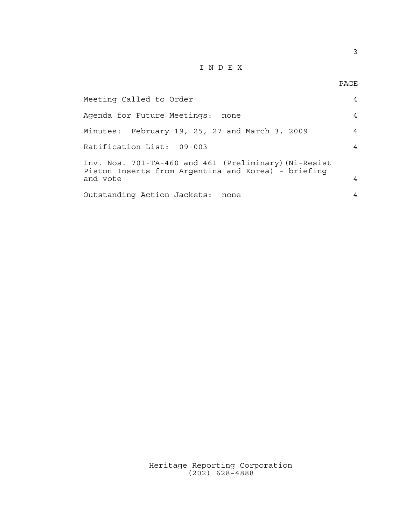## $\underline{\texttt{I}} \underline{\texttt{N}} \underline{\texttt{D}} \underline{\texttt{E}} \underline{\texttt{X}}$

| Meeting Called to Order                                                                                                  | $\overline{4}$ |
|--------------------------------------------------------------------------------------------------------------------------|----------------|
| Agenda for Future Meetings: none                                                                                         | $\overline{4}$ |
| Minutes: February 19, 25, 27 and March 3, 2009                                                                           | 4              |
| Ratification List: 09-003                                                                                                | 4              |
| Inv. Nos. 701-TA-460 and 461 (Preliminary) (Ni-Resist<br>Piston Inserts from Argentina and Korea) - briefing<br>and vote | 4              |
| Outstanding Action Jackets: none                                                                                         | 4              |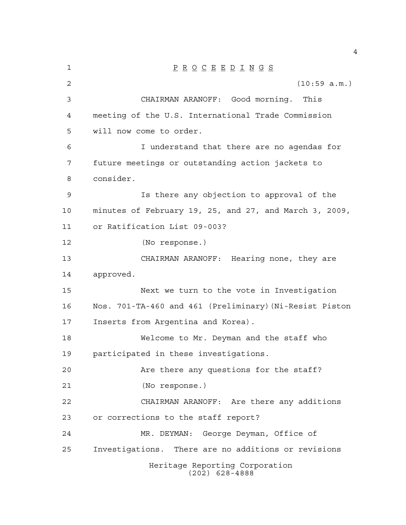| 1  | $\underline{P} \underline{R} \underline{O} \underline{C} \underline{E} \underline{E} \underline{D} \underline{I} \underline{N} \underline{G} \underline{S}$ |
|----|-------------------------------------------------------------------------------------------------------------------------------------------------------------|
| 2  | (10:59 a.m.)                                                                                                                                                |
| 3  | CHAIRMAN ARANOFF: Good morning. This                                                                                                                        |
| 4  | meeting of the U.S. International Trade Commission                                                                                                          |
| 5  | will now come to order.                                                                                                                                     |
| 6  | I understand that there are no agendas for                                                                                                                  |
| 7  | future meetings or outstanding action jackets to                                                                                                            |
| 8  | consider.                                                                                                                                                   |
| 9  | Is there any objection to approval of the                                                                                                                   |
| 10 | minutes of February 19, 25, and 27, and March 3, 2009,                                                                                                      |
| 11 | or Ratification List 09-003?                                                                                                                                |
| 12 | (No response.)                                                                                                                                              |
| 13 | CHAIRMAN ARANOFF: Hearing none, they are                                                                                                                    |
| 14 | approved.                                                                                                                                                   |
| 15 | Next we turn to the vote in Investigation                                                                                                                   |
| 16 | Nos. 701-TA-460 and 461 (Preliminary) (Ni-Resist Piston                                                                                                     |
| 17 | Inserts from Argentina and Korea).                                                                                                                          |
| 18 | Welcome to Mr. Deyman and the staff who                                                                                                                     |
| 19 | participated in these investigations.                                                                                                                       |
| 20 | Are there any questions for the staff?                                                                                                                      |
| 21 | (No response.)                                                                                                                                              |
| 22 | CHAIRMAN ARANOFF: Are there any additions                                                                                                                   |
| 23 | or corrections to the staff report?                                                                                                                         |
| 24 | MR. DEYMAN: George Deyman, Office of                                                                                                                        |
| 25 | Investigations. There are no additions or revisions                                                                                                         |
|    | Heritage Reporting Corporation<br>$(202)$ 628-4888                                                                                                          |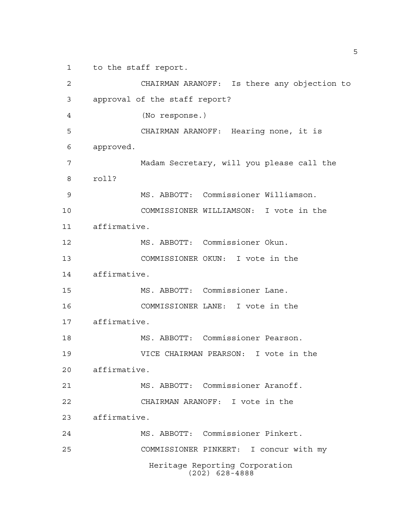to the staff report.

Heritage Reporting Corporation (202) 628-4888 CHAIRMAN ARANOFF: Is there any objection to approval of the staff report? (No response.) CHAIRMAN ARANOFF: Hearing none, it is approved. Madam Secretary, will you please call the roll? MS. ABBOTT: Commissioner Williamson. COMMISSIONER WILLIAMSON: I vote in the affirmative. MS. ABBOTT: Commissioner Okun. COMMISSIONER OKUN: I vote in the affirmative. MS. ABBOTT: Commissioner Lane. COMMISSIONER LANE: I vote in the affirmative. MS. ABBOTT: Commissioner Pearson. VICE CHAIRMAN PEARSON: I vote in the affirmative. MS. ABBOTT: Commissioner Aranoff. CHAIRMAN ARANOFF: I vote in the affirmative. MS. ABBOTT: Commissioner Pinkert. COMMISSIONER PINKERT: I concur with my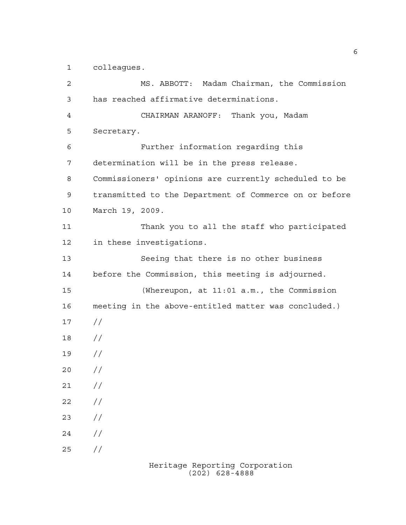colleagues.

 MS. ABBOTT: Madam Chairman, the Commission has reached affirmative determinations. CHAIRMAN ARANOFF: Thank you, Madam Secretary. Further information regarding this determination will be in the press release. Commissioners' opinions are currently scheduled to be transmitted to the Department of Commerce on or before March 19, 2009. Thank you to all the staff who participated in these investigations. Seeing that there is no other business before the Commission, this meeting is adjourned. (Whereupon, at 11:01 a.m., the Commission meeting in the above-entitled matter was concluded.) // // //  $20 /$  $21 /$  $22 / /$  $23 / /$  $24 /$  $25 / /$